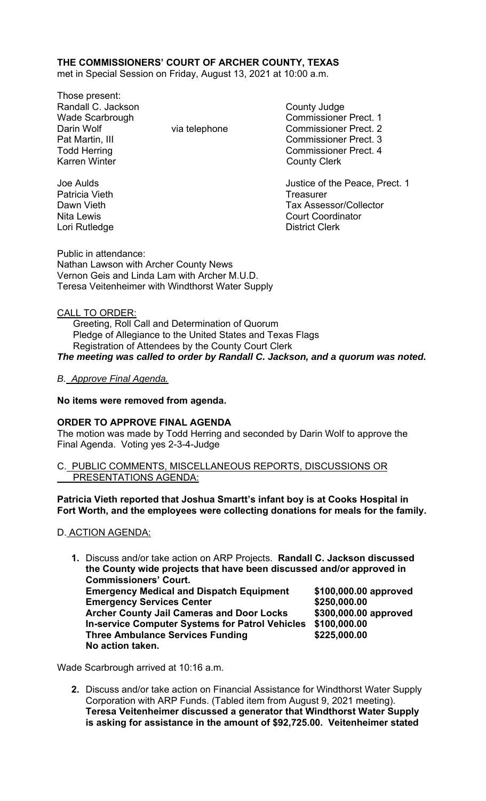# **THE COMMISSIONERS' COURT OF ARCHER COUNTY, TEXAS**

met in Special Session on Friday, August 13, 2021 at 10:00 a.m.

Those present: Randall C. Jackson County Judge Wade Scarbrough Commissioner Prect. 1 Darin Wolf **Via telephone** Via telephone Commissioner Prect. 2 Pat Martin, III Commissioner Prect. 3 Karren Winter **County Clerk** 

Todd Herring **Commissioner Prect.** 4

Joe Aulds Justice of the Peace, Prect. 1 Dawn Vieth Tax Assessor/Collector Nita Lewis **Court Coordinator** Court Coordinator

Patricia Vieth **Treasurer** Treasurer Lori Rutledge **District Clerk** 

Public in attendance: Nathan Lawson with Archer County News Vernon Geis and Linda Lam with Archer M.U.D. Teresa Veitenheimer with Windthorst Water Supply

## CALL TO ORDER:

 Greeting, Roll Call and Determination of Quorum Pledge of Allegiance to the United States and Texas Flags Registration of Attendees by the County Court Clerk *The meeting was called to order by Randall C. Jackson, and a quorum was noted.* 

## *B. Approve Final Agenda.*

#### **No items were removed from agenda.**

#### **ORDER TO APPROVE FINAL AGENDA**

The motion was made by Todd Herring and seconded by Darin Wolf to approve the Final Agenda. Voting yes 2-3-4-Judge

C. PUBLIC COMMENTS, MISCELLANEOUS REPORTS, DISCUSSIONS OR PRESENTATIONS AGENDA:

**Patricia Vieth reported that Joshua Smartt's infant boy is at Cooks Hospital in Fort Worth, and the employees were collecting donations for meals for the family.** 

#### D. ACTION AGENDA:

**1.** Discuss and/or take action on ARP Projects. **Randall C. Jackson discussed the County wide projects that have been discussed and/or approved in Commissioners' Court. Emergency Medical and Dispatch Equipment \$100,000.00 approved Emergency Services Center 6250,000.00 \$250,000.00 Archer County Jail Cameras and Door Locks \$300,000.00 approved In-service Computer Systems for Patrol Vehicles \$100,000.00 Three Ambulance Services Funding \$225,000.00 No action taken.** 

Wade Scarbrough arrived at 10:16 a.m.

**2.** Discuss and/or take action on Financial Assistance for Windthorst Water Supply Corporation with ARP Funds. (Tabled item from August 9, 2021 meeting). **Teresa Veitenheimer discussed a generator that Windthorst Water Supply is asking for assistance in the amount of \$92,725.00. Veitenheimer stated**